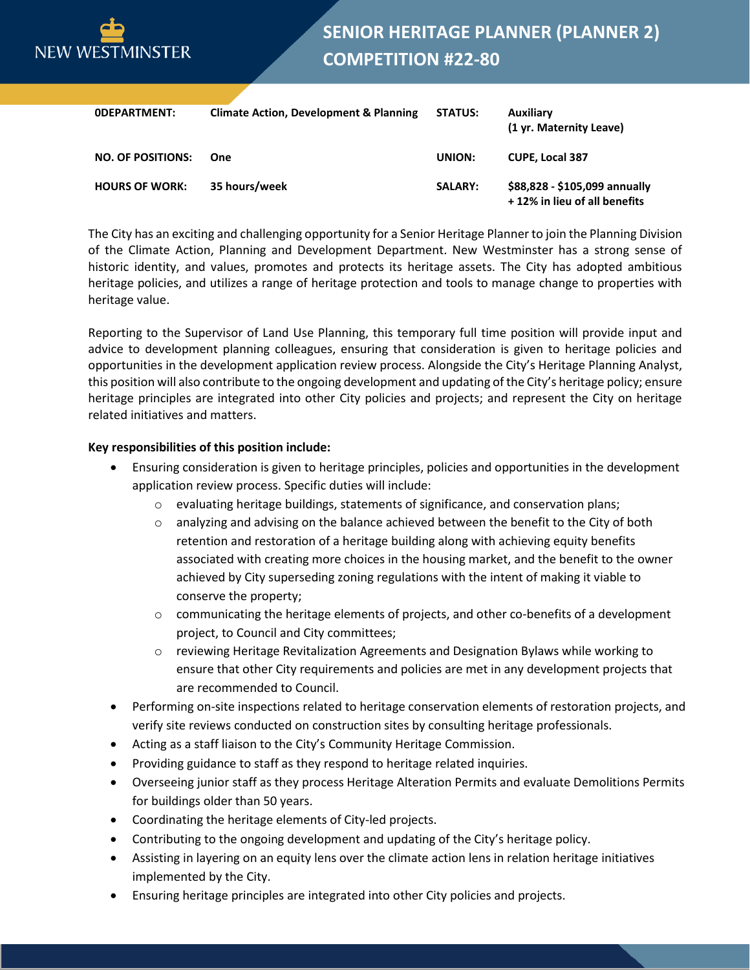

| <b>ODEPARTMENT:</b>      | <b>Climate Action, Development &amp; Planning</b> | <b>STATUS:</b> | Auxiliary<br>(1 yr. Maternity Leave)                          |
|--------------------------|---------------------------------------------------|----------------|---------------------------------------------------------------|
| <b>NO. OF POSITIONS:</b> | One                                               | UNION:         | <b>CUPE, Local 387</b>                                        |
| <b>HOURS OF WORK:</b>    | 35 hours/week                                     | <b>SALARY:</b> | \$88,828 - \$105,099 annually<br>+12% in lieu of all benefits |

The City has an exciting and challenging opportunity for a Senior Heritage Planner to join the Planning Division of the Climate Action, Planning and Development Department. New Westminster has a strong sense of historic identity, and values, promotes and protects its heritage assets. The City has adopted ambitious heritage policies, and utilizes a range of heritage protection and tools to manage change to properties with heritage value.

Reporting to the Supervisor of Land Use Planning, this temporary full time position will provide input and advice to development planning colleagues, ensuring that consideration is given to heritage policies and opportunities in the development application review process. Alongside the City's Heritage Planning Analyst, this position will also contribute to the ongoing development and updating of the City's heritage policy; ensure heritage principles are integrated into other City policies and projects; and represent the City on heritage related initiatives and matters.

## **Key responsibilities of this position include:**

- Ensuring consideration is given to heritage principles, policies and opportunities in the development application review process. Specific duties will include:
	- o evaluating heritage buildings, statements of significance, and conservation plans;
	- $\circ$  analyzing and advising on the balance achieved between the benefit to the City of both retention and restoration of a heritage building along with achieving equity benefits associated with creating more choices in the housing market, and the benefit to the owner achieved by City superseding zoning regulations with the intent of making it viable to conserve the property;
	- $\circ$  communicating the heritage elements of projects, and other co-benefits of a development project, to Council and City committees;
	- o reviewing Heritage Revitalization Agreements and Designation Bylaws while working to ensure that other City requirements and policies are met in any development projects that are recommended to Council.
- Performing on-site inspections related to heritage conservation elements of restoration projects, and verify site reviews conducted on construction sites by consulting heritage professionals.
- Acting as a staff liaison to the City's Community Heritage Commission.
- Providing guidance to staff as they respond to heritage related inquiries.
- Overseeing junior staff as they process Heritage Alteration Permits and evaluate Demolitions Permits for buildings older than 50 years.
- Coordinating the heritage elements of City-led projects.
- Contributing to the ongoing development and updating of the City's heritage policy.
- Assisting in layering on an equity lens over the climate action lens in relation heritage initiatives implemented by the City.
- Ensuring heritage principles are integrated into other City policies and projects.